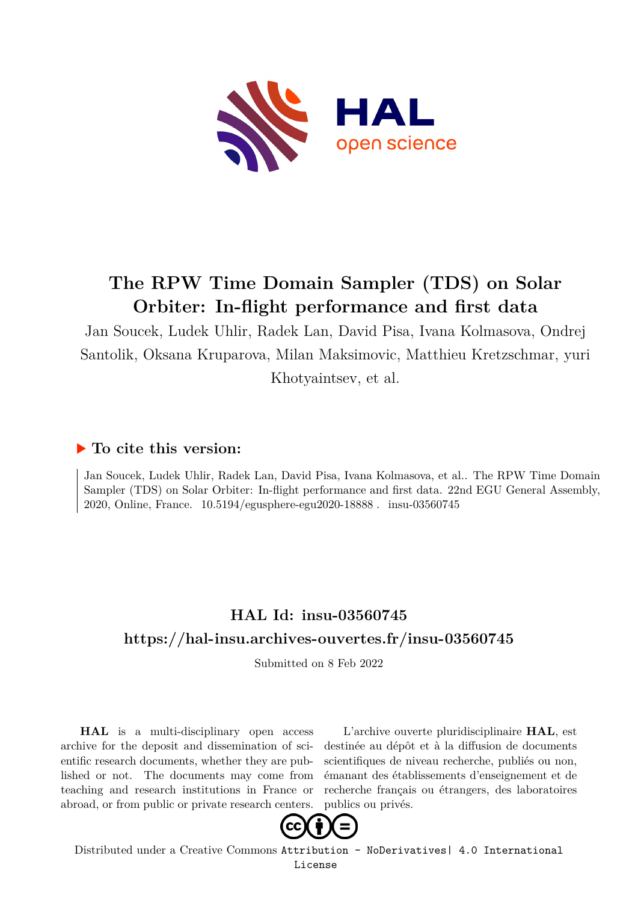

## **The RPW Time Domain Sampler (TDS) on Solar Orbiter: In-flight performance and first data**

Jan Soucek, Ludek Uhlir, Radek Lan, David Pisa, Ivana Kolmasova, Ondrej Santolik, Oksana Kruparova, Milan Maksimovic, Matthieu Kretzschmar, yuri Khotyaintsev, et al.

## **To cite this version:**

Jan Soucek, Ludek Uhlir, Radek Lan, David Pisa, Ivana Kolmasova, et al.. The RPW Time Domain Sampler (TDS) on Solar Orbiter: In-flight performance and first data. 22nd EGU General Assembly, 2020, Online, France. 10.5194/egusphere-egu2020-18888. insu-03560745

## **HAL Id: insu-03560745 <https://hal-insu.archives-ouvertes.fr/insu-03560745>**

Submitted on 8 Feb 2022

**HAL** is a multi-disciplinary open access archive for the deposit and dissemination of scientific research documents, whether they are published or not. The documents may come from teaching and research institutions in France or abroad, or from public or private research centers.

L'archive ouverte pluridisciplinaire **HAL**, est destinée au dépôt et à la diffusion de documents scientifiques de niveau recherche, publiés ou non, émanant des établissements d'enseignement et de recherche français ou étrangers, des laboratoires publics ou privés.



Distributed under a Creative Commons [Attribution - NoDerivatives| 4.0 International](http://creativecommons.org/licenses/by-nd/4.0/) [License](http://creativecommons.org/licenses/by-nd/4.0/)